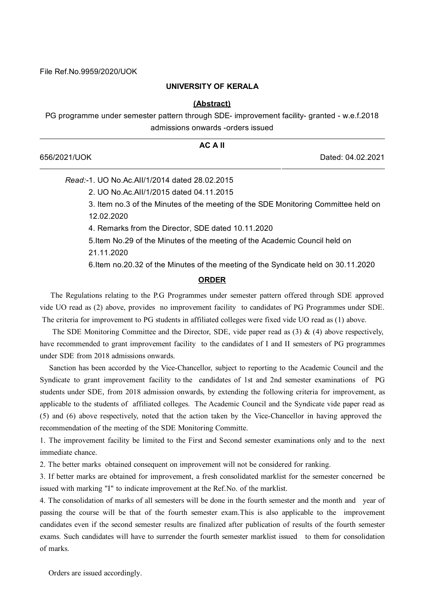File Ref.No.9959/2020/UOK

### **UNIVERSITY OF KERALA**

### **(Abstract)**

PG programme under semester pattern through SDE- improvement facility- granted - w.e.f.2018 admissions onwards -orders issued

| AC A II                                         |                   |
|-------------------------------------------------|-------------------|
| 656/2021/UOK                                    | Dated: 04.02.2021 |
| Read: 1, UO No. Ac. All/1/2014 dated 28,02,2015 |                   |
| 2. UO No. Ac. All/1/2015 dated 04.11.2015       |                   |

3. Item no.3 of the Minutes of the meeting of the SDE Monitoring Committee held on 12.02.2020

4. Remarks from the Director, SDE dated 10.11.2020

5.Item No.29 of the Minutes of the meeting of the Academic Council held on 21.11.2020

6.Item no.20.32 of the Minutes of the meeting of the Syndicate held on 30.11.2020

## **ORDER**

The Regulations relating to the P.G Programmes under semester pattern offered through SDE approved vide UO read as (2) above, provides no improvement facility to candidates of PG Programmes under SDE. The criteria for improvement to PG students in affiliated colleges were fixed vide UO read as (1) above.

The SDE Monitoring Committee and the Director, SDE, vide paper read as  $(3)$  &  $(4)$  above respectively, have recommended to grant improvement facility to the candidates of I and II semesters of PG programmes under SDE from 2018 admissions onwards.

Sanction has been accorded by the Vice-Chancellor, subject to reporting to the Academic Council and the Syndicate to grant improvement facility to the candidates of 1st and 2nd semester examinations of PG students under SDE, from 2018 admission onwards, by extending the following criteria for improvement, as applicable to the students of affiliated colleges. The Academic Council and the Syndicate vide paper read as (5) and (6) above respectively, noted that the action taken by the Vice-Chancellor in having approved the recommendation of the meeting of the SDE Monitoring Committe.

1. The improvement facility be limited to the First and Second semester examinations only and to the next immediate chance.

2. The better marks obtained consequent on improvement will not be considered for ranking.

3. If better marks are obtained for improvement, a fresh consolidated marklist for the semester concerned be issued with marking "I" to indicate improvement at the Ref.No. of the marklist.

4. The consolidation of marks of all semesters will be done in the fourth semester and the month and year of passing the course will be that of the fourth semester exam.This is also applicable to the improvement candidates even if the second semester results are finalized after publication of results of the fourth semester exams. Such candidates will have to surrender the fourth semester marklist issued to them for consolidation of marks.

Orders are issued accordingly.